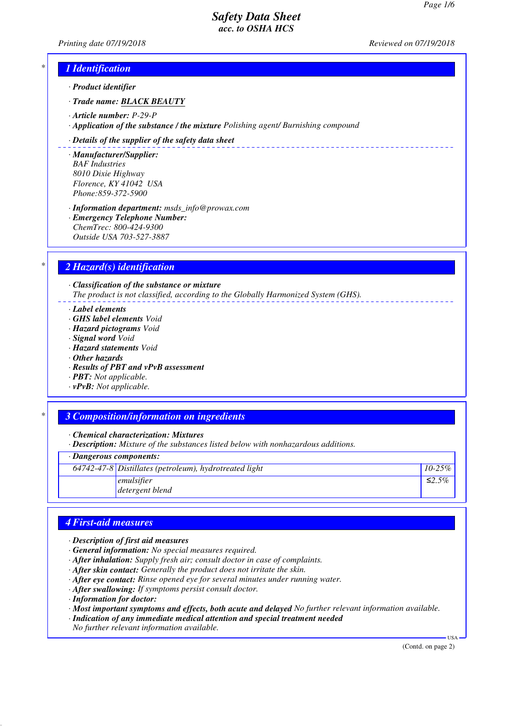*Printing date 07/19/2018 Reviewed on 07/19/2018*

\_\_\_\_\_\_\_\_\_\_\_\_\_\_\_\_\_\_\_\_\_\_\_\_\_\_

## *\* 1 Identification*

*· Product identifier*

*· Trade name: BLACK BEAUTY*

- *· Article number: P-29-P*
- *· Application of the substance / the mixture Polishing agent/ Burnishing compound*

#### *· Details of the supplier of the safety data sheet*

*· Manufacturer/Supplier: BAF Industries 8010 Dixie Highway Florence, KY 41042 USA Phone:859-372-5900*

*· Information department: msds\_info@prowax.com · Emergency Telephone Number: ChemTrec: 800-424-9300 Outside USA 703-527-3887*

### *\* 2 Hazard(s) identification*

*· Classification of the substance or mixture The product is not classified, according to the Globally Harmonized System (GHS).*

*· Label elements*

- *· GHS label elements Void*
- *· Hazard pictograms Void*
- *· Signal word Void*
- *· Hazard statements Void*
- *· Other hazards*
- *· Results of PBT and vPvB assessment*
- *· PBT: Not applicable.*
- *· vPvB: Not applicable.*

### *\* 3 Composition/information on ingredients*

*· Chemical characterization: Mixtures*

*· Description: Mixture of the substances listed below with nonhazardous additions.*

*· Dangerous components:*

|  | $\sqrt{64742-47}$ -8 Distillates (petroleum), hydrotreated light | $10 - 25\%$ |
|--|------------------------------------------------------------------|-------------|
|  | emulsifier<br>detergent blend                                    | ≤2.5%       |
|  |                                                                  |             |

### *4 First-aid measures*

- *· Description of first aid measures*
- *· General information: No special measures required.*
- *· After inhalation: Supply fresh air; consult doctor in case of complaints.*
- *· After skin contact: Generally the product does not irritate the skin.*
- *· After eye contact: Rinse opened eye for several minutes under running water.*
- *· After swallowing: If symptoms persist consult doctor.*
- *· Information for doctor:*

*· Most important symptoms and effects, both acute and delayed No further relevant information available.*

*· Indication of any immediate medical attention and special treatment needed*

*No further relevant information available.*

(Contd. on page 2)

USA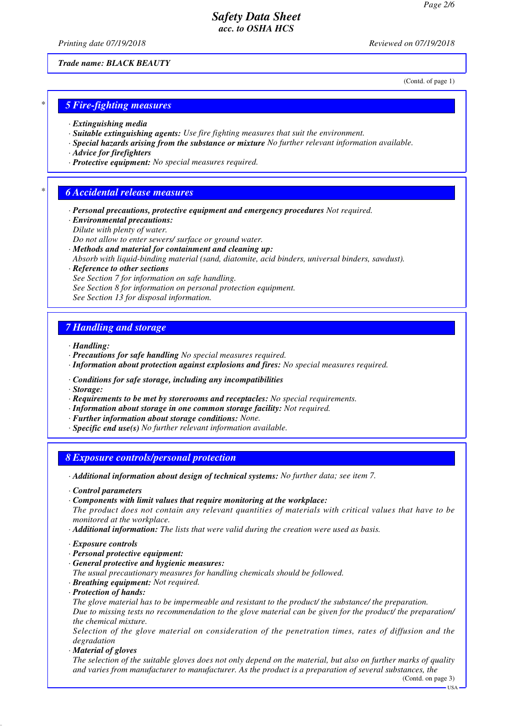*Printing date 07/19/2018 Reviewed on 07/19/2018*

*Trade name: BLACK BEAUTY*

(Contd. of page 1)

### *\* 5 Fire-fighting measures*

- *· Extinguishing media*
- *· Suitable extinguishing agents: Use fire fighting measures that suit the environment.*
- *· Special hazards arising from the substance or mixture No further relevant information available.*
- *· Advice for firefighters*
- *· Protective equipment: No special measures required.*

### *\* 6 Accidental release measures*

- *· Personal precautions, protective equipment and emergency procedures Not required.*
- *· Environmental precautions:*
- *Dilute with plenty of water.*
- *Do not allow to enter sewers/ surface or ground water.*
- *· Methods and material for containment and cleaning up:*
- *Absorb with liquid-binding material (sand, diatomite, acid binders, universal binders, sawdust).*

*· Reference to other sections*

- *See Section 7 for information on safe handling.*
- *See Section 8 for information on personal protection equipment.*
- *See Section 13 for disposal information.*

## *7 Handling and storage*

- *· Handling:*
- *· Precautions for safe handling No special measures required.*
- *· Information about protection against explosions and fires: No special measures required.*
- *· Conditions for safe storage, including any incompatibilities*
- *· Storage:*
- *· Requirements to be met by storerooms and receptacles: No special requirements.*
- *· Information about storage in one common storage facility: Not required.*
- *· Further information about storage conditions: None.*
- *· Specific end use(s) No further relevant information available.*

### *8 Exposure controls/personal protection*

- *· Additional information about design of technical systems: No further data; see item 7.*
- *· Control parameters*
- *· Components with limit values that require monitoring at the workplace:*

*The product does not contain any relevant quantities of materials with critical values that have to be monitored at the workplace.*

*· Additional information: The lists that were valid during the creation were used as basis.*

- *· Exposure controls*
- *· Personal protective equipment:*
- *· General protective and hygienic measures:*
- *The usual precautionary measures for handling chemicals should be followed.*
- *· Breathing equipment: Not required.*
- *· Protection of hands:*

*The glove material has to be impermeable and resistant to the product/ the substance/ the preparation. Due to missing tests no recommendation to the glove material can be given for the product/ the preparation/ the chemical mixture.*

*Selection of the glove material on consideration of the penetration times, rates of diffusion and the degradation*

*· Material of gloves*

*The selection of the suitable gloves does not only depend on the material, but also on further marks of quality and varies from manufacturer to manufacturer. As the product is a preparation of several substances, the*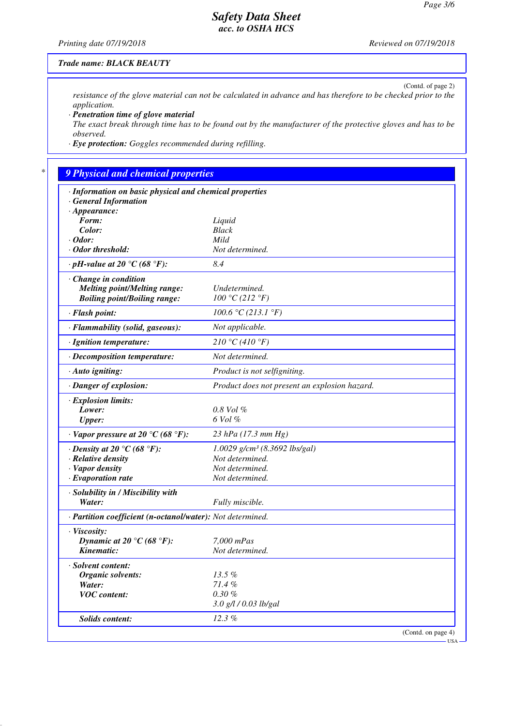(Contd. of page 2)

# *Safety Data Sheet acc. to OSHA HCS*

*Printing date 07/19/2018 Reviewed on 07/19/2018*

### *Trade name: BLACK BEAUTY*

*resistance of the glove material can not be calculated in advance and has therefore to be checked prior to the application.*

*· Penetration time of glove material*

*The exact break through time has to be found out by the manufacturer of the protective gloves and has to be observed.*

*· Eye protection: Goggles recommended during refilling.*

# *\* 9 Physical and chemical properties*

| · Information on basic physical and chemical properties    |                                               |
|------------------------------------------------------------|-----------------------------------------------|
| <b>General Information</b>                                 |                                               |
| $\cdot$ Appearance:                                        |                                               |
| Form:<br>Color:                                            | Liquid<br><b>Black</b>                        |
| $\cdot$ Odor:                                              | Mild                                          |
| · Odor threshold:                                          | Not determined.                               |
| $\cdot$ pH-value at 20 °C (68 °F):                         | 8.4                                           |
|                                                            |                                               |
| $\cdot$ Change in condition                                |                                               |
| <b>Melting point/Melting range:</b>                        | Undetermined.                                 |
| <b>Boiling point/Boiling range:</b>                        | 100 °C (212 °F)                               |
| · Flash point:                                             | 100.6 °C (213.1 °F)                           |
| · Flammability (solid, gaseous):                           | Not applicable.                               |
| · Ignition temperature:                                    | 210 °C (410 °F)                               |
| · Decomposition temperature:                               | Not determined.                               |
| $\cdot$ Auto igniting:                                     | Product is not selfigniting.                  |
| · Danger of explosion:                                     | Product does not present an explosion hazard. |
| · Explosion limits:                                        |                                               |
| Lower:                                                     | 0.8 Vol %                                     |
| <b>Upper:</b>                                              | 6 Vol %                                       |
| $\cdot$ Vapor pressure at 20 °C (68 °F):                   | 23 hPa $(17.3 \, mm \, Hg)$                   |
| $\cdot$ Density at 20 $\degree$ C (68 $\degree$ F):        | $1.0029$ g/cm <sup>3</sup> (8.3692 lbs/gal)   |
| · Relative density                                         | Not determined.                               |
| · Vapor density                                            | Not determined.                               |
| $\cdot$ Evaporation rate                                   | Not determined.                               |
| · Solubility in / Miscibility with                         |                                               |
| Water:                                                     | Fully miscible.                               |
| · Partition coefficient (n-octanol/water): Not determined. |                                               |
| · Viscosity:                                               |                                               |
| Dynamic at 20 °C (68 °F):                                  | 7,000 mPas                                    |
| Kinematic:                                                 | Not determined.                               |
| · Solvent content:                                         |                                               |
| Organic solvents:                                          | 13.5%                                         |
| Water:                                                     | 71.4%                                         |
| <b>VOC</b> content:                                        | $0.30 \%$                                     |
|                                                            | 3.0 g/l / 0.03 lb/gal                         |
| <b>Solids content:</b>                                     | 12.3%                                         |
|                                                            | (Contd. on page 4)                            |

USA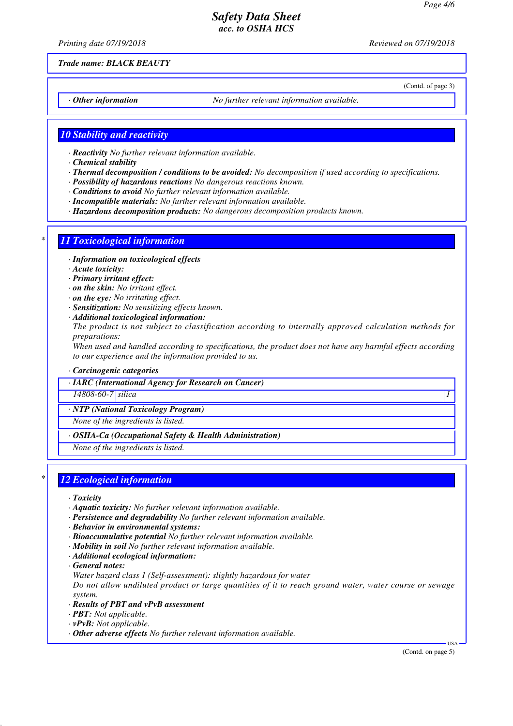*Printing date 07/19/2018 Reviewed on 07/19/2018*

(Contd. of page 3)

*Trade name: BLACK BEAUTY*

*· Other information No further relevant information available.*

## *10 Stability and reactivity*

- *· Reactivity No further relevant information available.*
- *· Chemical stability*
- *· Thermal decomposition / conditions to be avoided: No decomposition if used according to specifications.*
- *· Possibility of hazardous reactions No dangerous reactions known.*
- *· Conditions to avoid No further relevant information available.*
- *· Incompatible materials: No further relevant information available.*
- *· Hazardous decomposition products: No dangerous decomposition products known.*

## *\* 11 Toxicological information*

- *· Information on toxicological effects*
- *· Acute toxicity:*
- *· Primary irritant effect:*
- *· on the skin: No irritant effect.*
- *· on the eye: No irritating effect.*
- *· Sensitization: No sensitizing effects known.*
- *· Additional toxicological information:*

*The product is not subject to classification according to internally approved calculation methods for preparations:*

*When used and handled according to specifications, the product does not have any harmful effects according to our experience and the information provided to us.*

### *· Carcinogenic categories*

*· IARC (International Agency for Research on Cancer)*

*14808-60-7 silica 1* 

*· NTP (National Toxicology Program)*

*None of the ingredients is listed.*

*· OSHA-Ca (Occupational Safety & Health Administration)*

*None of the ingredients is listed.*

## *\* 12 Ecological information*

*· Toxicity*

- *· Aquatic toxicity: No further relevant information available.*
- *· Persistence and degradability No further relevant information available.*
- *· Behavior in environmental systems:*
- *· Bioaccumulative potential No further relevant information available.*
- *· Mobility in soil No further relevant information available.*
- *· Additional ecological information:*
- *· General notes:*
- *Water hazard class 1 (Self-assessment): slightly hazardous for water*

*Do not allow undiluted product or large quantities of it to reach ground water, water course or sewage system.*

- *· Results of PBT and vPvB assessment*
- *· PBT: Not applicable.*
- *· vPvB: Not applicable.*
- *· Other adverse effects No further relevant information available.*

(Contd. on page 5)

USA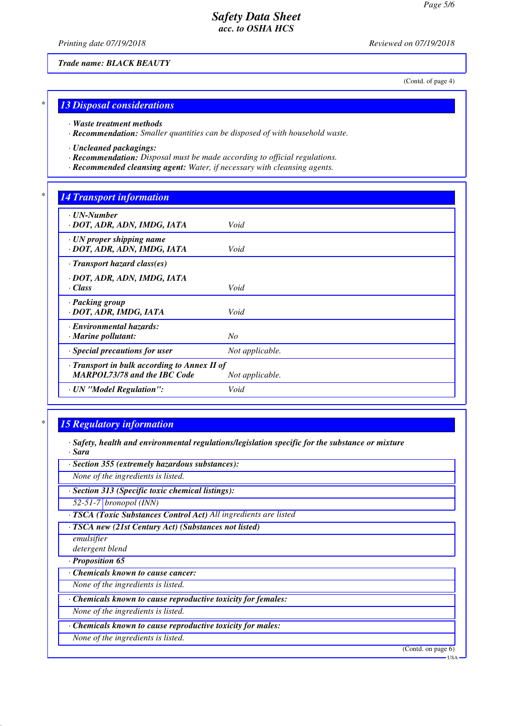*Printing date 07/19/2018 Reviewed on 07/19/2018*

(Contd. of page 4)

## *\* 13 Disposal considerations*

*Trade name: BLACK BEAUTY*

*· Waste treatment methods*

*· Recommendation: Smaller quantities can be disposed of with household waste.*

*· Uncleaned packagings:*

- *· Recommendation: Disposal must be made according to official regulations.*
- *· Recommended cleansing agent: Water, if necessary with cleansing agents.*

## *\* 14 Transport information*

| Void                                                            |  |  |
|-----------------------------------------------------------------|--|--|
| Void                                                            |  |  |
| $\cdot$ Transport hazard class(es)                              |  |  |
| Void                                                            |  |  |
| Void                                                            |  |  |
| $N_{O}$                                                         |  |  |
| Not applicable.                                                 |  |  |
| · Transport in bulk according to Annex II of<br>Not applicable. |  |  |
| Void                                                            |  |  |
|                                                                 |  |  |

## *\* 15 Regulatory information*

- *· Safety, health and environmental regulations/legislation specific for the substance or mixture · Sara*
- *· Section 355 (extremely hazardous substances):*

*None of the ingredients is listed.*

*· Section 313 (Specific toxic chemical listings):*

*52-51-7 bronopol (INN)*

*· TSCA (Toxic Substances Control Act) All ingredients are listed*

*· TSCA new (21st Century Act) (Substances not listed)*

*emulsifier*

*detergent blend*

*· Proposition 65*

*· Chemicals known to cause cancer:*

*None of the ingredients is listed.*

*· Chemicals known to cause reproductive toxicity for females:*

*None of the ingredients is listed.*

*· Chemicals known to cause reproductive toxicity for males:*

*None of the ingredients is listed.*

(Contd. on page 6)

USA